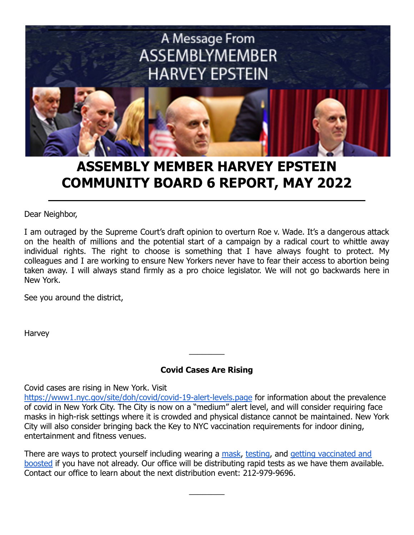

# **ASSEMBLY MEMBER HARVEY EPSTEIN COMMUNITY BOARD 6 REPORT, MAY 2022**

Dear Neighbor,

I am outraged by the Supreme Court's draft opinion to overturn Roe v. Wade. It's a dangerous attack on the health of millions and the potential start of a campaign by a radical court to whittle away individual rights. The right to choose is something that I have always fought to protect. My colleagues and I are working to ensure New Yorkers never have to fear their access to abortion being taken away. I will always stand firmly as a pro choice legislator. We will not go backwards here in New York.

See you around the district,

Harvey

## **Covid Cases Are Rising**

 $\overline{\phantom{a}}$ 

Covid cases are rising in New York. Visit

<https://www1.nyc.gov/site/doh/covid/covid-19-alert-levels.page> for information about the prevalence of covid in New York City. The City is now on a "medium" alert level, and will consider requiring face masks in high-risk settings where it is crowded and physical distance cannot be maintained. New York City will also consider bringing back the Key to NYC vaccination requirements for indoor dining, entertainment and fitness venues.

There are ways to protect yourself including wearing a [mask](https://www1.nyc.gov/site/doh/covid/covid-19-prevention-and-care.page#face), [testing](https://www1.nyc.gov/site/doh/covid/covid-19-testing.page), and [getting vaccinated and](https://vaccinefinder.nyc.gov/) [boosted](https://vaccinefinder.nyc.gov/) if you have not already. Our office will be distributing rapid tests as we have them available. Contact our office to learn about the next distribution event: 212-979-9696.

 $\overline{\phantom{a}}$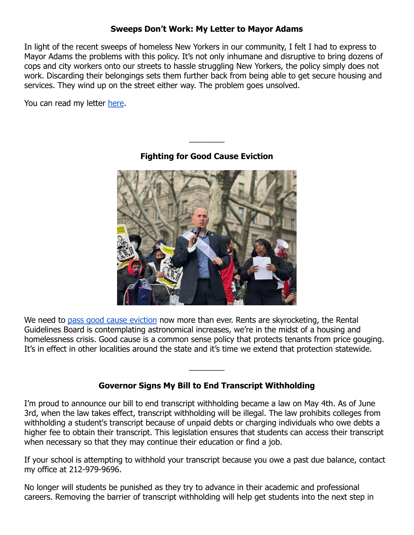## **Sweeps Don't Work: My Letter to Mayor Adams**

In light of the recent sweeps of homeless New Yorkers in our community, I felt I had to express to Mayor Adams the problems with this policy. It's not only inhumane and disruptive to bring dozens of cops and city workers onto our streets to hassle struggling New Yorkers, the policy simply does not work. Discarding their belongings sets them further back from being able to get secure housing and services. They wind up on the street either way. The problem goes unsolved.

You can read my letter [here](https://twitter.com/HarveyforNY/status/1516895515362877450?s=20&t=M_4F7VyJ8zTEIZZULC5-9w).



**Fighting for Good Cause Eviction**

 $\overline{\phantom{a}}$ 

We need to [pass good cause eviction](https://nyassembly.gov/leg/?term=2021&bn=A05573) now more than ever. Rents are skyrocketing, the Rental Guidelines Board is contemplating astronomical increases, we're in the midst of a housing and homelessness crisis. Good cause is a common sense policy that protects tenants from price gouging. It's in effect in other localities around the state and it's time we extend that protection statewide.

## **Governor Signs My Bill to End Transcript Withholding**

 $\overline{\phantom{a}}$ 

I'm proud to announce our bill to end transcript withholding became a law on May 4th. As of June 3rd, when the law takes effect, transcript withholding will be illegal. The law prohibits colleges from withholding a student's transcript because of unpaid debts or charging individuals who owe debts a higher fee to obtain their transcript. This legislation ensures that students can access their transcript when necessary so that they may continue their education or find a job.

If your school is attempting to withhold your transcript because you owe a past due balance, contact my office at 212-979-9696.

No longer will students be punished as they try to advance in their academic and professional careers. Removing the barrier of transcript withholding will help get students into the next step in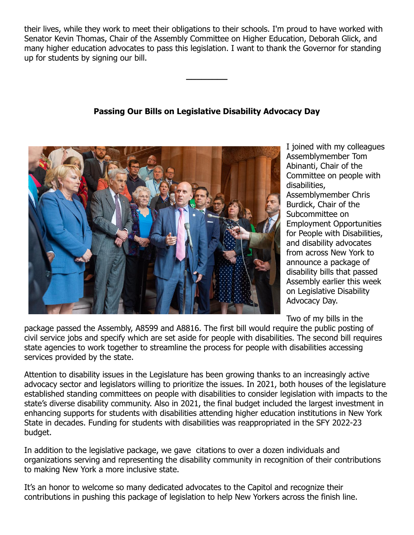their lives, while they work to meet their obligations to their schools. I'm proud to have worked with Senator Kevin Thomas, Chair of the Assembly Committee on Higher Education, Deborah Glick, and many higher education advocates to pass this legislation. I want to thank the Governor for standing up for students by signing our bill.

# **Passing Our Bills on Legislative Disability Advocacy Day**

**\_\_\_\_\_\_\_\_**



I joined with my colleagues Assemblymember Tom Abinanti, Chair of the Committee on people with disabilities, Assemblymember Chris Burdick, Chair of the Subcommittee on Employment Opportunities for People with Disabilities, and disability advocates from across New York to announce a package of disability bills that passed Assembly earlier this week on Legislative Disability Advocacy Day.

Two of my bills in the

package passed the Assembly, A8599 and A8816. The first bill would require the public posting of civil service jobs and specify which are set aside for people with disabilities. The second bill requires state agencies to work together to streamline the process for people with disabilities accessing services provided by the state.

Attention to disability issues in the Legislature has been growing thanks to an increasingly active advocacy sector and legislators willing to prioritize the issues. In 2021, both houses of the legislature established standing committees on people with disabilities to consider legislation with impacts to the state's diverse disability community. Also in 2021, the final budget included the largest investment in enhancing supports for students with disabilities attending higher education institutions in New York State in decades. Funding for students with disabilities was reappropriated in the SFY 2022-23 budget.

In addition to the legislative package, we gave citations to over a dozen individuals and organizations serving and representing the disability community in recognition of their contributions to making New York a more inclusive state.

It's an honor to welcome so many dedicated advocates to the Capitol and recognize their contributions in pushing this package of legislation to help New Yorkers across the finish line.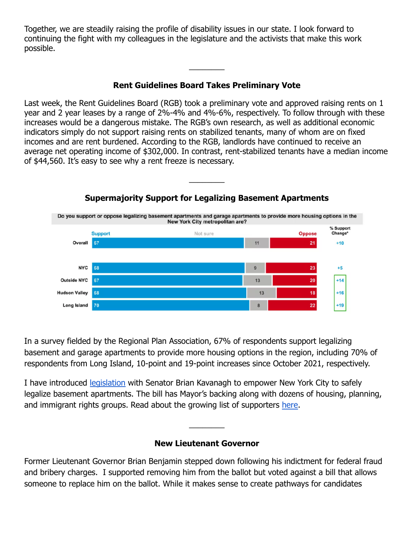Together, we are steadily raising the profile of disability issues in our state. I look forward to continuing the fight with my colleagues in the legislature and the activists that make this work possible.

# **Rent Guidelines Board Takes Preliminary Vote**

 $\overline{\phantom{a}}$ 

Last week, the Rent Guidelines Board (RGB) took a preliminary vote and approved raising rents on 1 year and 2 year leases by a range of 2%-4% and 4%-6%, respectively. To follow through with these increases would be a dangerous mistake. The RGB's own research, as well as additional economic indicators simply do not support raising rents on stabilized tenants, many of whom are on fixed incomes and are rent burdened. According to the RGB, landlords have continued to receive an average net operating income of \$302,000. In contrast, rent-stabilized tenants have a median income of \$44,560. It's easy to see why a rent freeze is necessary.

 $\overline{\phantom{a}}$ 



In a survey fielded by the Regional Plan Association, 67% of respondents support legalizing basement and garage apartments to provide more housing options in the region, including 70% of respondents from Long Island, 10-point and 19-point increases since October 2021, respectively.

I have introduced [legislation](https://nyassembly.gov/leg/?bn=a9802) with Senator Brian Kavanagh to empower New York City to safely legalize basement apartments. The bill has Mayor's backing along with dozens of housing, planning, and immigrant rights groups. Read about the growing list of supporters [here.](https://twitter.com/CaseyBerk/status/1522212295194996738?s=20&t=ivl-NOli3KMOYwMCT79bew)

#### **New Lieutenant Governor**

 $\overline{\phantom{a}}$ 

Former Lieutenant Governor Brian Benjamin stepped down following his indictment for federal fraud and bribery charges. I supported removing him from the ballot but voted against a bill that allows someone to replace him on the ballot. While it makes sense to create pathways for candidates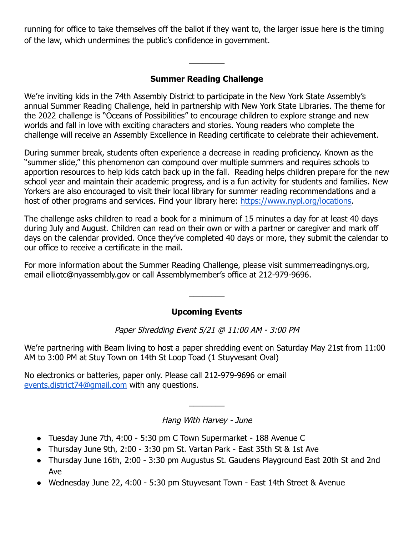running for office to take themselves off the ballot if they want to, the larger issue here is the timing of the law, which undermines the public's confidence in government.

# **Summer Reading Challenge**

 $\overline{\phantom{a}}$ 

We're inviting kids in the 74th Assembly District to participate in the New York State Assembly's annual Summer Reading Challenge, held in partnership with New York State Libraries. The theme for the 2022 challenge is "Oceans of Possibilities" to encourage children to explore strange and new worlds and fall in love with exciting characters and stories. Young readers who complete the challenge will receive an Assembly Excellence in Reading certificate to celebrate their achievement.

During summer break, students often experience a decrease in reading proficiency. Known as the "summer slide," this phenomenon can compound over multiple summers and requires schools to apportion resources to help kids catch back up in the fall. Reading helps children prepare for the new school year and maintain their academic progress, and is a fun activity for students and families. New Yorkers are also encouraged to visit their local library for summer reading recommendations and a host of other programs and services. Find your library here: [https://www.nypl.org/locations.](https://www.nypl.org/locations)

The challenge asks children to read a book for a minimum of 15 minutes a day for at least 40 days during July and August. Children can read on their own or with a partner or caregiver and mark off days on the calendar provided. Once they've completed 40 days or more, they submit the calendar to our office to receive a certificate in the mail.

For more information about the Summer Reading Challenge, please visit summerreadingnys.org, email elliotc@nyassembly.gov or call Assemblymember's office at 212-979-9696.

## **Upcoming Events**

 $\overline{\phantom{a}}$ 

Paper Shredding Event 5/21 @ 11:00 AM - 3:00 PM

We're partnering with Beam living to host a paper shredding event on Saturday May 21st from 11:00 AM to 3:00 PM at Stuy Town on 14th St Loop Toad (1 Stuyvesant Oval)

No electronics or batteries, paper only. Please call 212-979-9696 or email [events.district74@gmail.com](mailto:events.district74@gmail.com) with any questions.

#### Hang With Harvey - June

 $\overline{\phantom{a}}$ 

- Tuesday June 7th, 4:00 5:30 pm C Town Supermarket 188 Avenue C
- Thursday June 9th, 2:00 3:30 pm St. Vartan Park East 35th St & 1st Ave
- Thursday June 16th, 2:00 3:30 pm Augustus St. Gaudens Playground East 20th St and 2nd Ave
- Wednesday June 22, 4:00 5:30 pm Stuyvesant Town East 14th Street & Avenue